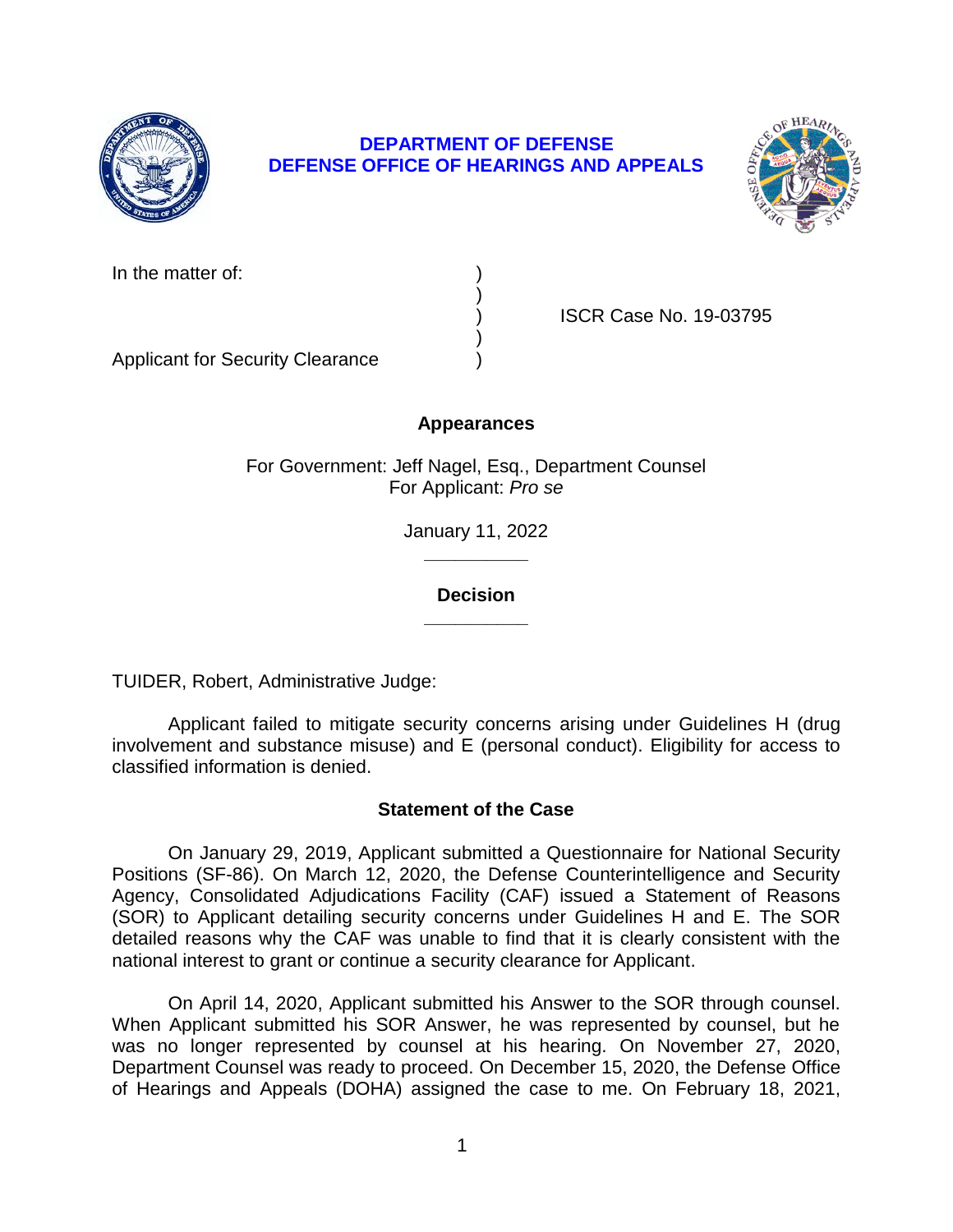

# **DEPARTMENT OF DEFENSE DEFENSE OFFICE OF HEARINGS AND APPEALS**



| In the matter of: |  |
|-------------------|--|
|                   |  |

) ISCR Case No. 19-03795

 $)$ Applicant for Security Clearance )

# **Appearances**

)

For Government: Jeff Nagel, Esq., Department Counsel For Applicant: *Pro se*

> January 11, 2022 **\_\_\_\_\_\_\_\_\_\_**

### **Decision \_\_\_\_\_\_\_\_\_\_**

TUIDER, Robert, Administrative Judge:

Applicant failed to mitigate security concerns arising under Guidelines H (drug involvement and substance misuse) and E (personal conduct). Eligibility for access to classified information is denied.

### **Statement of the Case**

On January 29, 2019, Applicant submitted a Questionnaire for National Security Positions (SF-86). On March 12, 2020, the Defense Counterintelligence and Security Agency, Consolidated Adjudications Facility (CAF) issued a Statement of Reasons (SOR) to Applicant detailing security concerns under Guidelines H and E. The SOR detailed reasons why the CAF was unable to find that it is clearly consistent with the national interest to grant or continue a security clearance for Applicant.

On April 14, 2020, Applicant submitted his Answer to the SOR through counsel. When Applicant submitted his SOR Answer, he was represented by counsel, but he was no longer represented by counsel at his hearing. On November 27, 2020, Department Counsel was ready to proceed. On December 15, 2020, the Defense Office of Hearings and Appeals (DOHA) assigned the case to me. On February 18, 2021,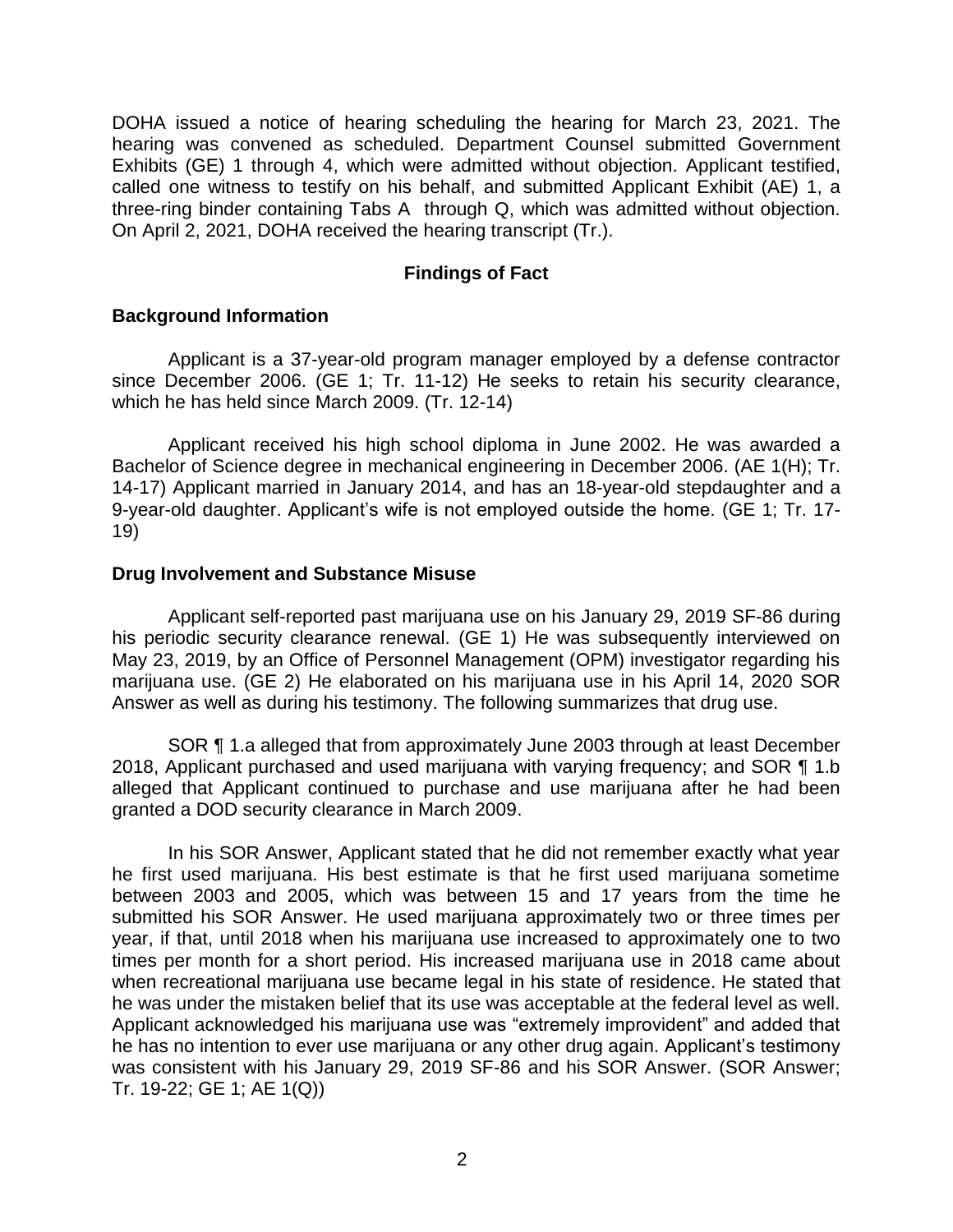DOHA issued a notice of hearing scheduling the hearing for March 23, 2021. The hearing was convened as scheduled. Department Counsel submitted Government Exhibits (GE) 1 through 4, which were admitted without objection. Applicant testified, called one witness to testify on his behalf, and submitted Applicant Exhibit (AE) 1, a three-ring binder containing Tabs A through Q, which was admitted without objection. On April 2, 2021, DOHA received the hearing transcript (Tr.).

### **Findings of Fact**

#### **Background Information**

Applicant is a 37-year-old program manager employed by a defense contractor since December 2006. (GE 1; Tr. 11-12) He seeks to retain his security clearance, which he has held since March 2009. (Tr. 12-14)

Applicant received his high school diploma in June 2002. He was awarded a Bachelor of Science degree in mechanical engineering in December 2006. (AE 1(H); Tr. 14-17) Applicant married in January 2014, and has an 18-year-old stepdaughter and a 9-year-old daughter. Applicant's wife is not employed outside the home. (GE 1; Tr. 17- 19)

#### **Drug Involvement and Substance Misuse**

Applicant self-reported past marijuana use on his January 29, 2019 SF-86 during his periodic security clearance renewal. (GE 1) He was subsequently interviewed on May 23, 2019, by an Office of Personnel Management (OPM) investigator regarding his marijuana use. (GE 2) He elaborated on his marijuana use in his April 14, 2020 SOR Answer as well as during his testimony. The following summarizes that drug use.

SOR ¶ 1.a alleged that from approximately June 2003 through at least December 2018, Applicant purchased and used marijuana with varying frequency; and SOR ¶ 1.b alleged that Applicant continued to purchase and use marijuana after he had been granted a DOD security clearance in March 2009.

In his SOR Answer, Applicant stated that he did not remember exactly what year he first used marijuana. His best estimate is that he first used marijuana sometime between 2003 and 2005, which was between 15 and 17 years from the time he submitted his SOR Answer. He used marijuana approximately two or three times per year, if that, until 2018 when his marijuana use increased to approximately one to two times per month for a short period. His increased marijuana use in 2018 came about when recreational marijuana use became legal in his state of residence. He stated that he was under the mistaken belief that its use was acceptable at the federal level as well. Applicant acknowledged his marijuana use was "extremely improvident" and added that he has no intention to ever use marijuana or any other drug again. Applicant's testimony was consistent with his January 29, 2019 SF-86 and his SOR Answer. (SOR Answer; Tr. 19-22; GE 1; AE 1(Q))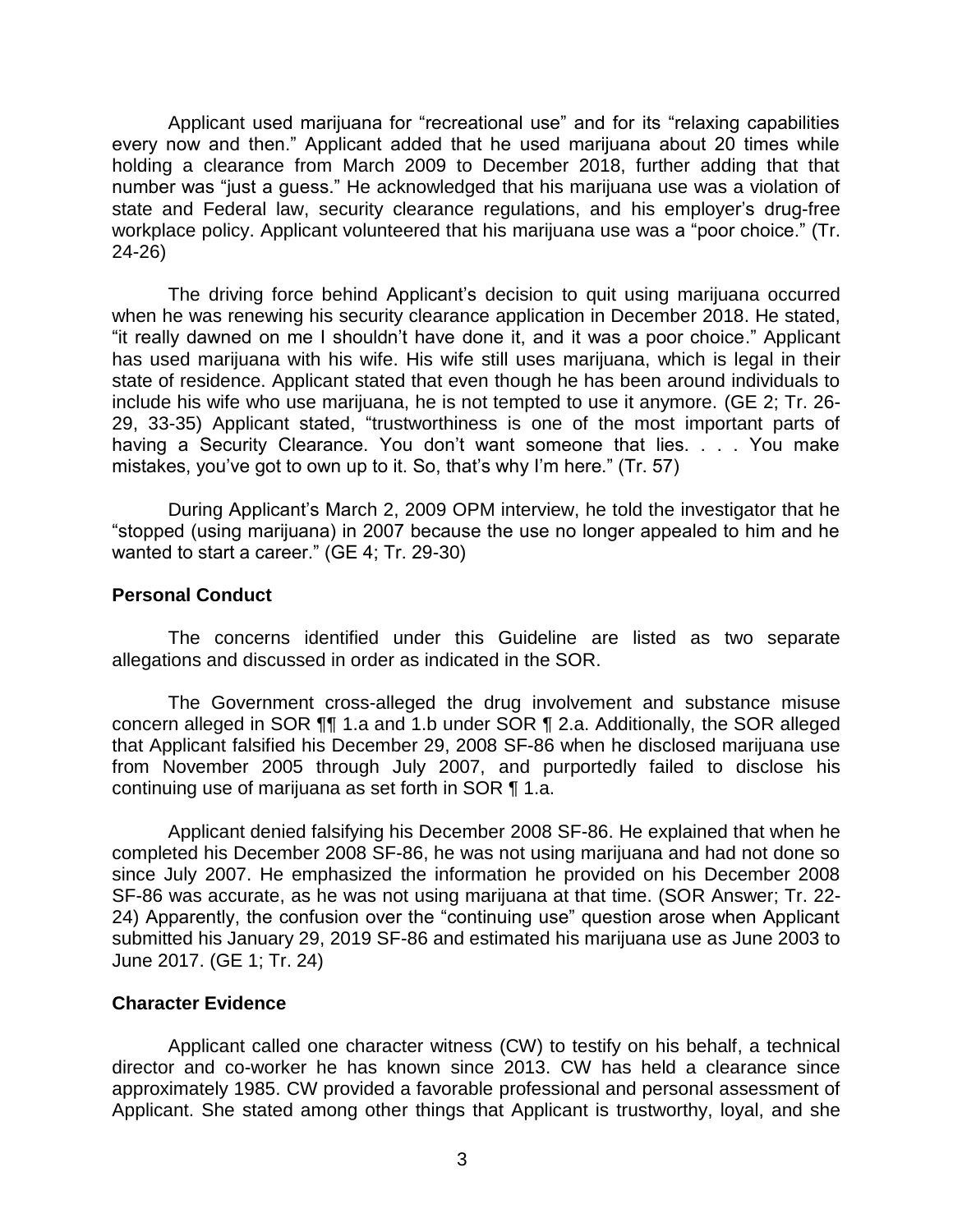Applicant used marijuana for "recreational use" and for its "relaxing capabilities every now and then." Applicant added that he used marijuana about 20 times while holding a clearance from March 2009 to December 2018, further adding that that number was "just a guess." He acknowledged that his marijuana use was a violation of state and Federal law, security clearance regulations, and his employer's drug-free workplace policy. Applicant volunteered that his marijuana use was a "poor choice." (Tr. 24-26)

The driving force behind Applicant's decision to quit using marijuana occurred when he was renewing his security clearance application in December 2018. He stated, "it really dawned on me I shouldn't have done it, and it was a poor choice." Applicant has used marijuana with his wife. His wife still uses marijuana, which is legal in their state of residence. Applicant stated that even though he has been around individuals to include his wife who use marijuana, he is not tempted to use it anymore. (GE 2; Tr. 26- 29, 33-35) Applicant stated, "trustworthiness is one of the most important parts of having a Security Clearance. You don't want someone that lies. . . . You make mistakes, you've got to own up to it. So, that's why I'm here." (Tr. 57)

During Applicant's March 2, 2009 OPM interview, he told the investigator that he "stopped (using marijuana) in 2007 because the use no longer appealed to him and he wanted to start a career." (GE 4; Tr. 29-30)

#### **Personal Conduct**

The concerns identified under this Guideline are listed as two separate allegations and discussed in order as indicated in the SOR.

The Government cross-alleged the drug involvement and substance misuse concern alleged in SOR ¶¶ 1.a and 1.b under SOR ¶ 2.a. Additionally, the SOR alleged that Applicant falsified his December 29, 2008 SF-86 when he disclosed marijuana use from November 2005 through July 2007, and purportedly failed to disclose his continuing use of marijuana as set forth in SOR ¶ 1.a.

Applicant denied falsifying his December 2008 SF-86. He explained that when he completed his December 2008 SF-86, he was not using marijuana and had not done so since July 2007. He emphasized the information he provided on his December 2008 SF-86 was accurate, as he was not using marijuana at that time. (SOR Answer; Tr. 22- 24) Apparently, the confusion over the "continuing use" question arose when Applicant submitted his January 29, 2019 SF-86 and estimated his marijuana use as June 2003 to June 2017. (GE 1; Tr. 24)

#### **Character Evidence**

Applicant called one character witness (CW) to testify on his behalf, a technical director and co-worker he has known since 2013. CW has held a clearance since approximately 1985. CW provided a favorable professional and personal assessment of Applicant. She stated among other things that Applicant is trustworthy, loyal, and she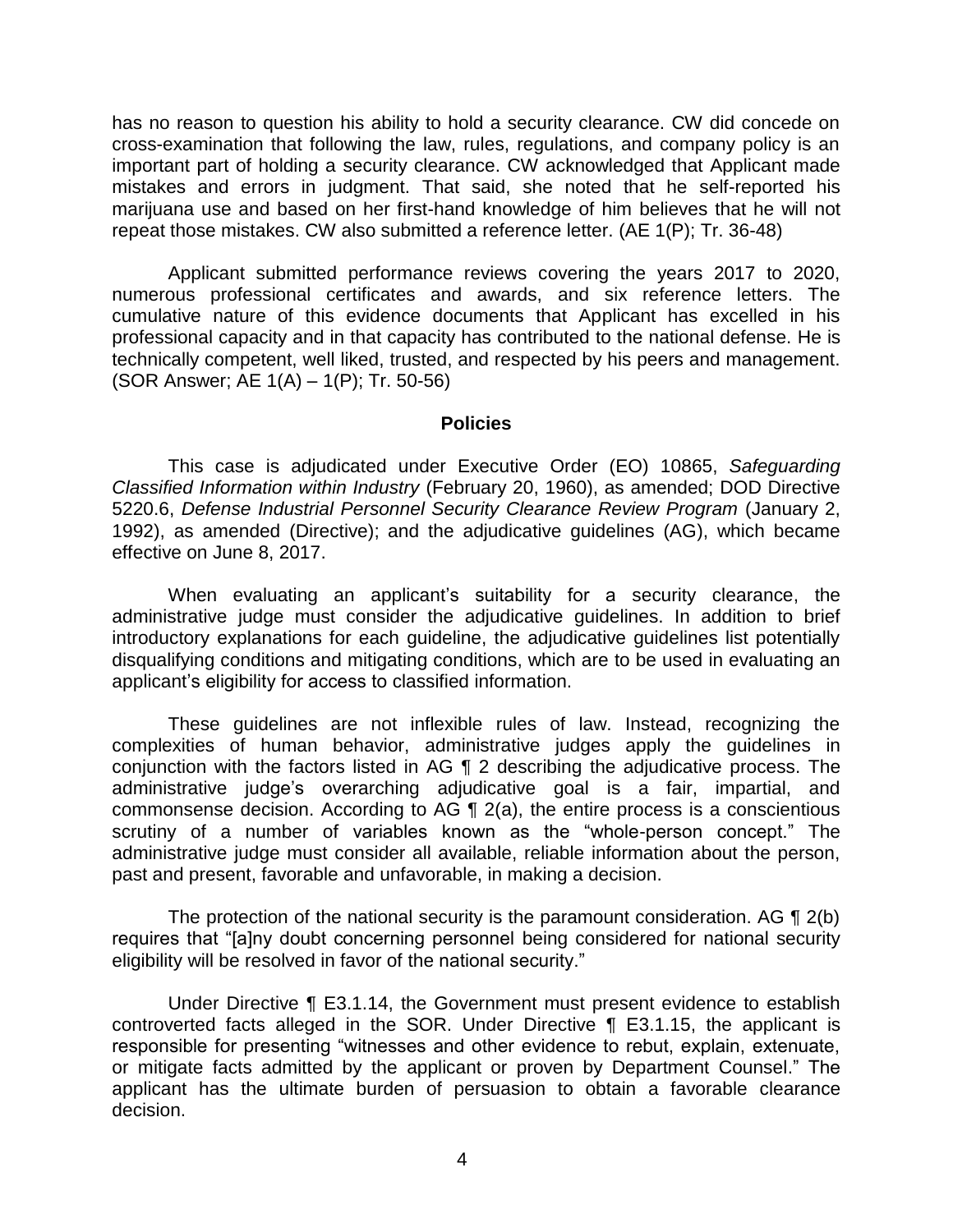has no reason to question his ability to hold a security clearance. CW did concede on cross-examination that following the law, rules, regulations, and company policy is an important part of holding a security clearance. CW acknowledged that Applicant made mistakes and errors in judgment. That said, she noted that he self-reported his marijuana use and based on her first-hand knowledge of him believes that he will not repeat those mistakes. CW also submitted a reference letter. (AE 1(P); Tr. 36-48)

Applicant submitted performance reviews covering the years 2017 to 2020, numerous professional certificates and awards, and six reference letters. The cumulative nature of this evidence documents that Applicant has excelled in his professional capacity and in that capacity has contributed to the national defense. He is technically competent, well liked, trusted, and respected by his peers and management. (SOR Answer; AE 1(A) – 1(P); Tr. 50-56)

#### **Policies**

This case is adjudicated under Executive Order (EO) 10865, *Safeguarding Classified Information within Industry* (February 20, 1960), as amended; DOD Directive 5220.6, *Defense Industrial Personnel Security Clearance Review Program* (January 2, 1992), as amended (Directive); and the adjudicative guidelines (AG), which became effective on June 8, 2017.

When evaluating an applicant's suitability for a security clearance, the administrative judge must consider the adjudicative guidelines. In addition to brief introductory explanations for each guideline, the adjudicative guidelines list potentially disqualifying conditions and mitigating conditions, which are to be used in evaluating an applicant's eligibility for access to classified information.

These guidelines are not inflexible rules of law. Instead, recognizing the complexities of human behavior, administrative judges apply the guidelines in conjunction with the factors listed in AG ¶ 2 describing the adjudicative process. The administrative judge's overarching adjudicative goal is a fair, impartial, and commonsense decision. According to AG ¶ 2(a), the entire process is a conscientious scrutiny of a number of variables known as the "whole-person concept." The administrative judge must consider all available, reliable information about the person, past and present, favorable and unfavorable, in making a decision.

The protection of the national security is the paramount consideration. AG ¶ 2(b) requires that "[a]ny doubt concerning personnel being considered for national security eligibility will be resolved in favor of the national security."

Under Directive ¶ E3.1.14, the Government must present evidence to establish controverted facts alleged in the SOR. Under Directive ¶ E3.1.15, the applicant is responsible for presenting "witnesses and other evidence to rebut, explain, extenuate, or mitigate facts admitted by the applicant or proven by Department Counsel." The applicant has the ultimate burden of persuasion to obtain a favorable clearance decision.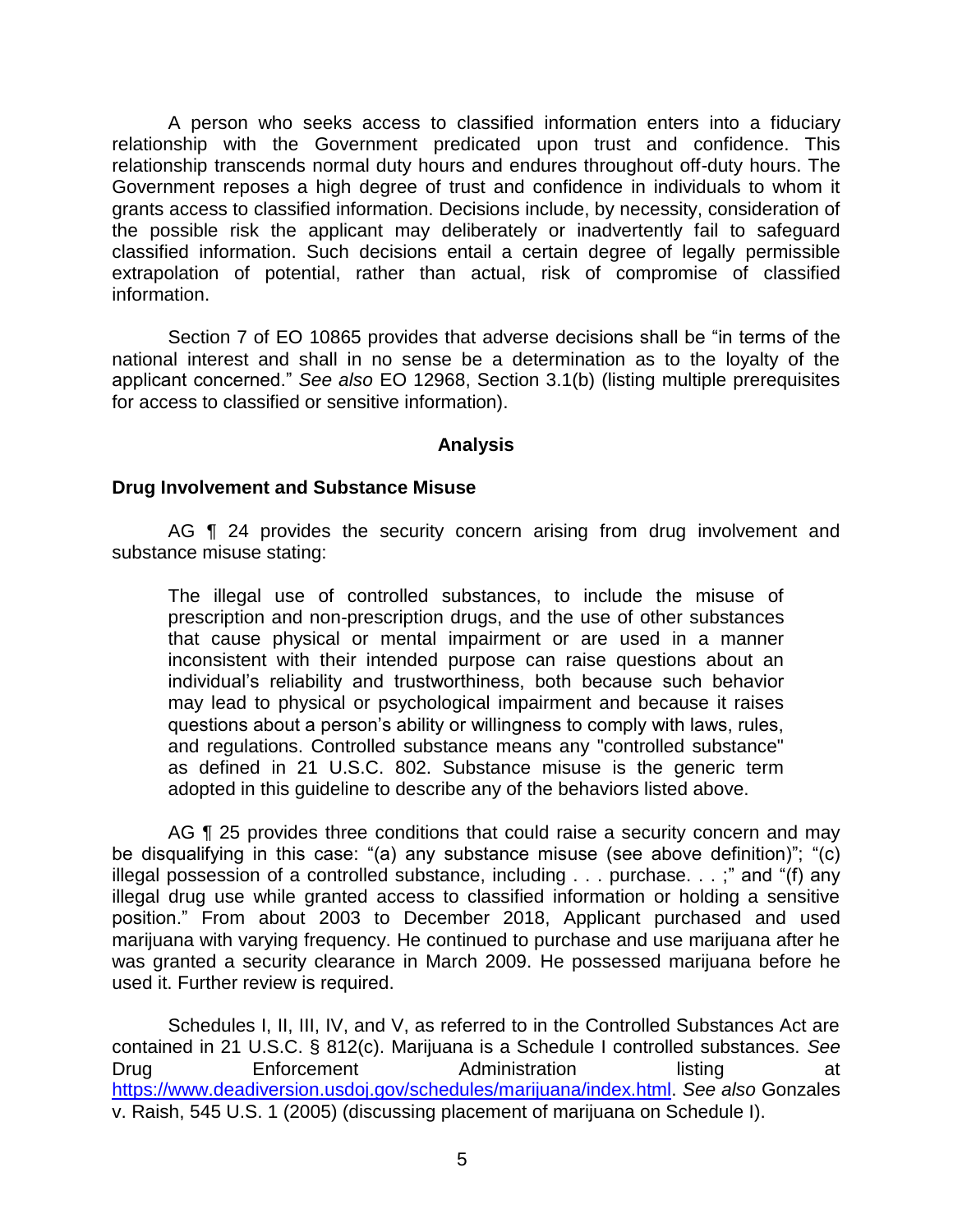A person who seeks access to classified information enters into a fiduciary relationship with the Government predicated upon trust and confidence. This relationship transcends normal duty hours and endures throughout off-duty hours. The Government reposes a high degree of trust and confidence in individuals to whom it grants access to classified information. Decisions include, by necessity, consideration of the possible risk the applicant may deliberately or inadvertently fail to safeguard classified information. Such decisions entail a certain degree of legally permissible extrapolation of potential, rather than actual, risk of compromise of classified information.

Section 7 of EO 10865 provides that adverse decisions shall be "in terms of the national interest and shall in no sense be a determination as to the loyalty of the applicant concerned." *See also* EO 12968, Section 3.1(b) (listing multiple prerequisites for access to classified or sensitive information).

### **Analysis**

#### **Drug Involvement and Substance Misuse**

AG **[1** 24 provides the security concern arising from drug involvement and substance misuse stating:

The illegal use of controlled substances, to include the misuse of prescription and non-prescription drugs, and the use of other substances that cause physical or mental impairment or are used in a manner inconsistent with their intended purpose can raise questions about an individual's reliability and trustworthiness, both because such behavior may lead to physical or psychological impairment and because it raises questions about a person's ability or willingness to comply with laws, rules, and regulations. Controlled substance means any "controlled substance" as defined in 21 U.S.C. 802. Substance misuse is the generic term adopted in this guideline to describe any of the behaviors listed above.

AG **[1** 25 provides three conditions that could raise a security concern and may be disqualifying in this case: "(a) any substance misuse (see above definition)"; "(c) illegal possession of a controlled substance, including . . . purchase. . . ;" and "(f) any illegal drug use while granted access to classified information or holding a sensitive position." From about 2003 to December 2018, Applicant purchased and used marijuana with varying frequency. He continued to purchase and use marijuana after he was granted a security clearance in March 2009. He possessed marijuana before he used it. Further review is required.

Schedules I, II, III, IV, and V, as referred to in the Controlled Substances Act are contained in 21 U.S.C. § 812(c). Marijuana is a Schedule I controlled substances. *See* Drug **Enforcement** Administration listing at https://www.deadiversion.usdoj.gov/schedules/marijuana/index.html. *See also* Gonzales v. Raish, 545 U.S. 1 (2005) (discussing placement of marijuana on Schedule I).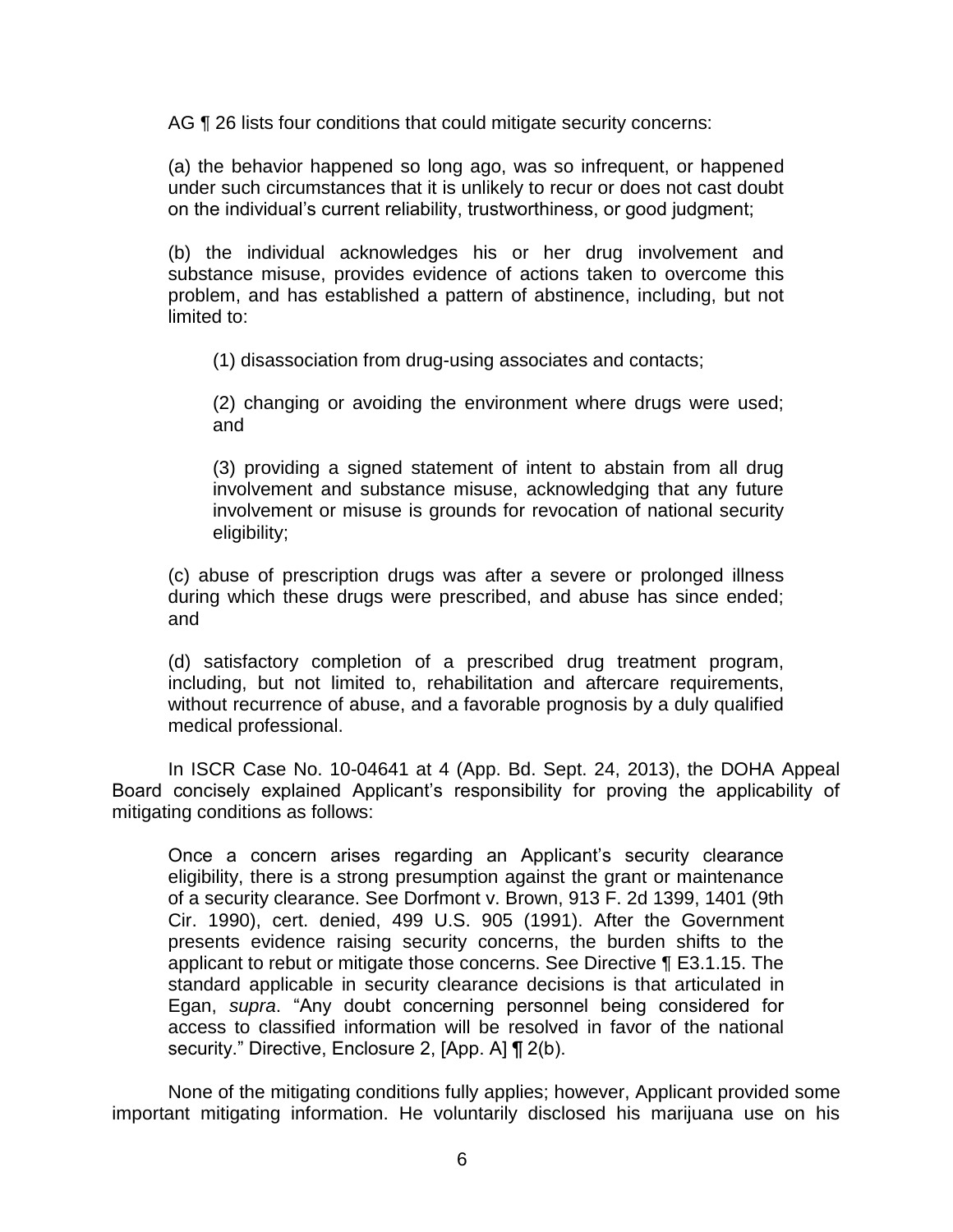AG ¶ 26 lists four conditions that could mitigate security concerns:

(a) the behavior happened so long ago, was so infrequent, or happened under such circumstances that it is unlikely to recur or does not cast doubt on the individual's current reliability, trustworthiness, or good judgment;

(b) the individual acknowledges his or her drug involvement and substance misuse, provides evidence of actions taken to overcome this problem, and has established a pattern of abstinence, including, but not limited to:

(1) disassociation from drug-using associates and contacts;

(2) changing or avoiding the environment where drugs were used; and

(3) providing a signed statement of intent to abstain from all drug involvement and substance misuse, acknowledging that any future involvement or misuse is grounds for revocation of national security eligibility;

(c) abuse of prescription drugs was after a severe or prolonged illness during which these drugs were prescribed, and abuse has since ended; and

(d) satisfactory completion of a prescribed drug treatment program, including, but not limited to, rehabilitation and aftercare requirements, without recurrence of abuse, and a favorable prognosis by a duly qualified medical professional.

In ISCR Case No. 10-04641 at 4 (App. Bd. Sept. 24, 2013), the DOHA Appeal Board concisely explained Applicant's responsibility for proving the applicability of mitigating conditions as follows:

Once a concern arises regarding an Applicant's security clearance eligibility, there is a strong presumption against the grant or maintenance of a security clearance. See Dorfmont v. Brown, 913 F. 2d 1399, 1401 (9th Cir. 1990), cert. denied, 499 U.S. 905 (1991). After the Government presents evidence raising security concerns, the burden shifts to the applicant to rebut or mitigate those concerns. See Directive ¶ E3.1.15. The standard applicable in security clearance decisions is that articulated in Egan, *supra*. "Any doubt concerning personnel being considered for access to classified information will be resolved in favor of the national security." Directive, Enclosure 2, [App. A] ¶ 2(b).

None of the mitigating conditions fully applies; however, Applicant provided some important mitigating information. He voluntarily disclosed his marijuana use on his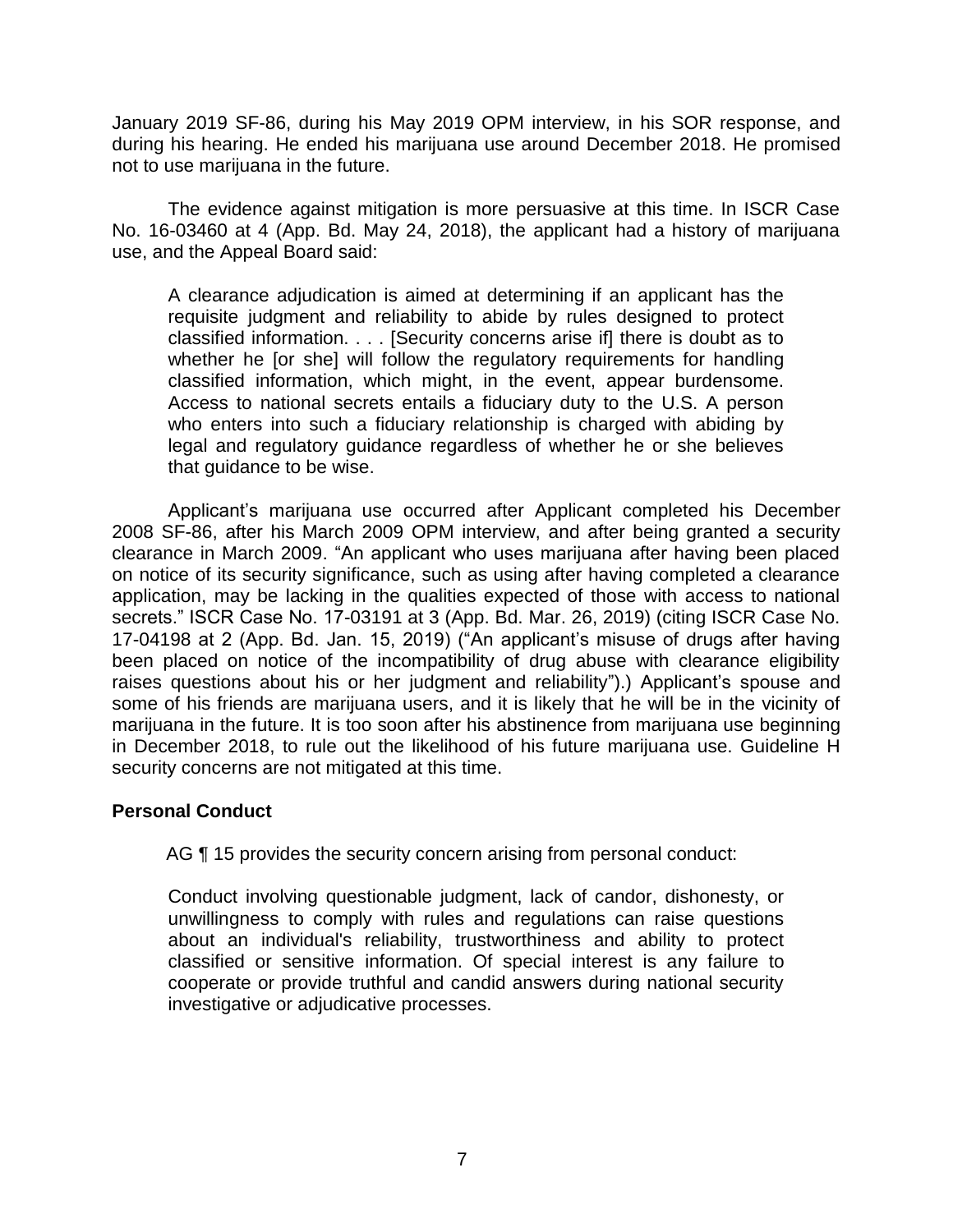January 2019 SF-86, during his May 2019 OPM interview, in his SOR response, and during his hearing. He ended his marijuana use around December 2018. He promised not to use marijuana in the future.

The evidence against mitigation is more persuasive at this time. In ISCR Case No. 16-03460 at 4 (App. Bd. May 24, 2018), the applicant had a history of marijuana use, and the Appeal Board said:

A clearance adjudication is aimed at determining if an applicant has the requisite judgment and reliability to abide by rules designed to protect classified information. . . . [Security concerns arise if] there is doubt as to whether he [or she] will follow the regulatory requirements for handling classified information, which might, in the event, appear burdensome. Access to national secrets entails a fiduciary duty to the U.S. A person who enters into such a fiduciary relationship is charged with abiding by legal and regulatory guidance regardless of whether he or she believes that guidance to be wise.

Applicant's marijuana use occurred after Applicant completed his December 2008 SF-86, after his March 2009 OPM interview, and after being granted a security clearance in March 2009. "An applicant who uses marijuana after having been placed on notice of its security significance, such as using after having completed a clearance application, may be lacking in the qualities expected of those with access to national secrets." ISCR Case No. 17-03191 at 3 (App. Bd. Mar. 26, 2019) (citing ISCR Case No. 17-04198 at 2 (App. Bd. Jan. 15, 2019) ("An applicant's misuse of drugs after having been placed on notice of the incompatibility of drug abuse with clearance eligibility raises questions about his or her judgment and reliability").) Applicant's spouse and some of his friends are marijuana users, and it is likely that he will be in the vicinity of marijuana in the future. It is too soon after his abstinence from marijuana use beginning in December 2018, to rule out the likelihood of his future marijuana use. Guideline H security concerns are not mitigated at this time.

### **Personal Conduct**

AG  $\P$  15 provides the security concern arising from personal conduct:

Conduct involving questionable judgment, lack of candor, dishonesty, or unwillingness to comply with rules and regulations can raise questions about an individual's reliability, trustworthiness and ability to protect classified or sensitive information. Of special interest is any failure to cooperate or provide truthful and candid answers during national security investigative or adjudicative processes.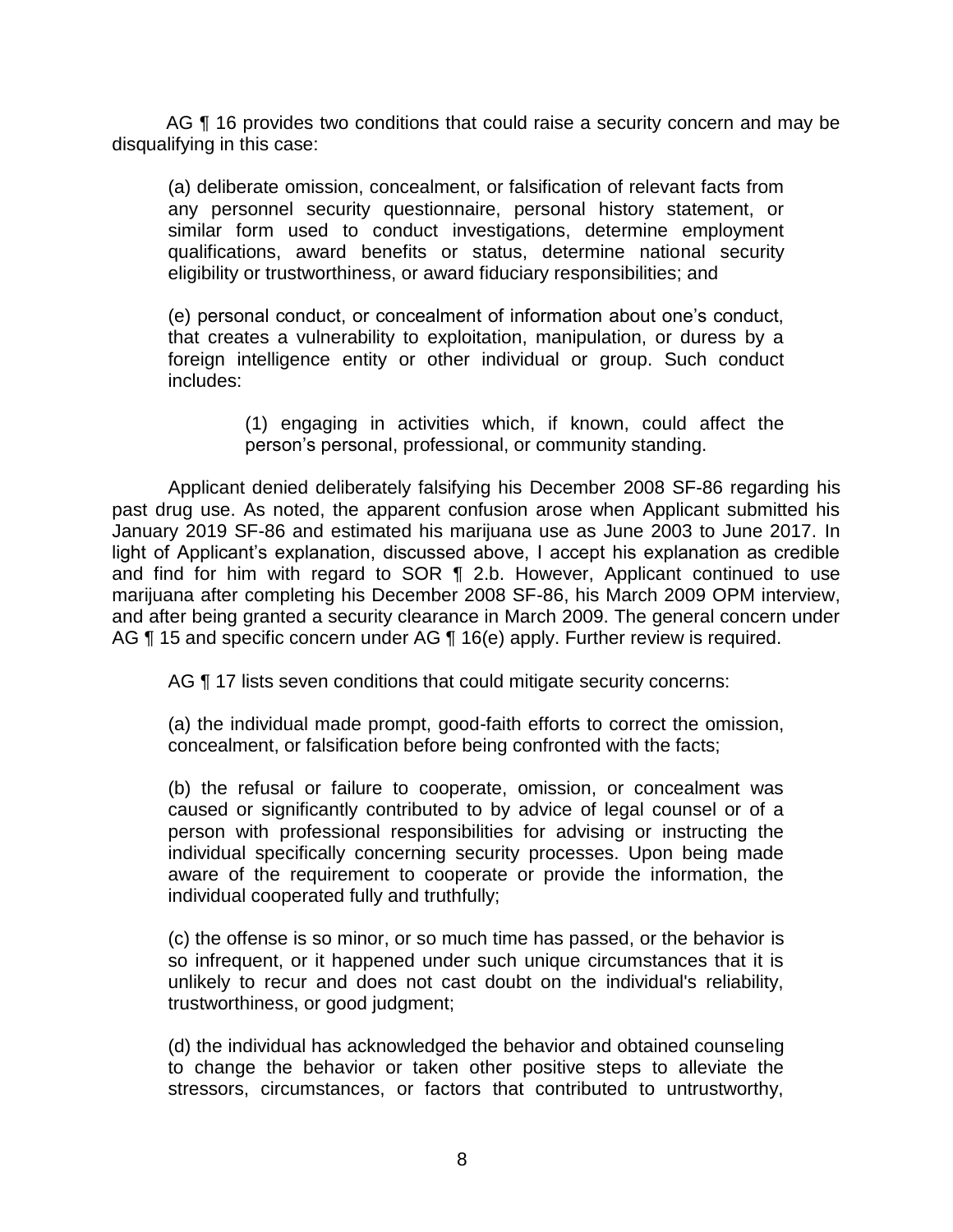AG ¶ 16 provides two conditions that could raise a security concern and may be disqualifying in this case:

(a) deliberate omission, concealment, or falsification of relevant facts from any personnel security questionnaire, personal history statement, or similar form used to conduct investigations, determine employment qualifications, award benefits or status, determine national security eligibility or trustworthiness, or award fiduciary responsibilities; and

(e) personal conduct, or concealment of information about one's conduct, that creates a vulnerability to exploitation, manipulation, or duress by a foreign intelligence entity or other individual or group. Such conduct includes:

> (1) engaging in activities which, if known, could affect the person's personal, professional, or community standing.

Applicant denied deliberately falsifying his December 2008 SF-86 regarding his past drug use. As noted, the apparent confusion arose when Applicant submitted his January 2019 SF-86 and estimated his marijuana use as June 2003 to June 2017. In light of Applicant's explanation, discussed above, I accept his explanation as credible and find for him with regard to SOR ¶ 2.b. However, Applicant continued to use marijuana after completing his December 2008 SF-86, his March 2009 OPM interview, and after being granted a security clearance in March 2009. The general concern under AG ¶ 15 and specific concern under AG ¶ 16(e) apply. Further review is required.

AG **[17 lists seven conditions that could mitigate security concerns:** 

(a) the individual made prompt, good-faith efforts to correct the omission, concealment, or falsification before being confronted with the facts;

(b) the refusal or failure to cooperate, omission, or concealment was caused or significantly contributed to by advice of legal counsel or of a person with professional responsibilities for advising or instructing the individual specifically concerning security processes. Upon being made aware of the requirement to cooperate or provide the information, the individual cooperated fully and truthfully;

(c) the offense is so minor, or so much time has passed, or the behavior is so infrequent, or it happened under such unique circumstances that it is unlikely to recur and does not cast doubt on the individual's reliability, trustworthiness, or good judgment;

(d) the individual has acknowledged the behavior and obtained counseling to change the behavior or taken other positive steps to alleviate the stressors, circumstances, or factors that contributed to untrustworthy,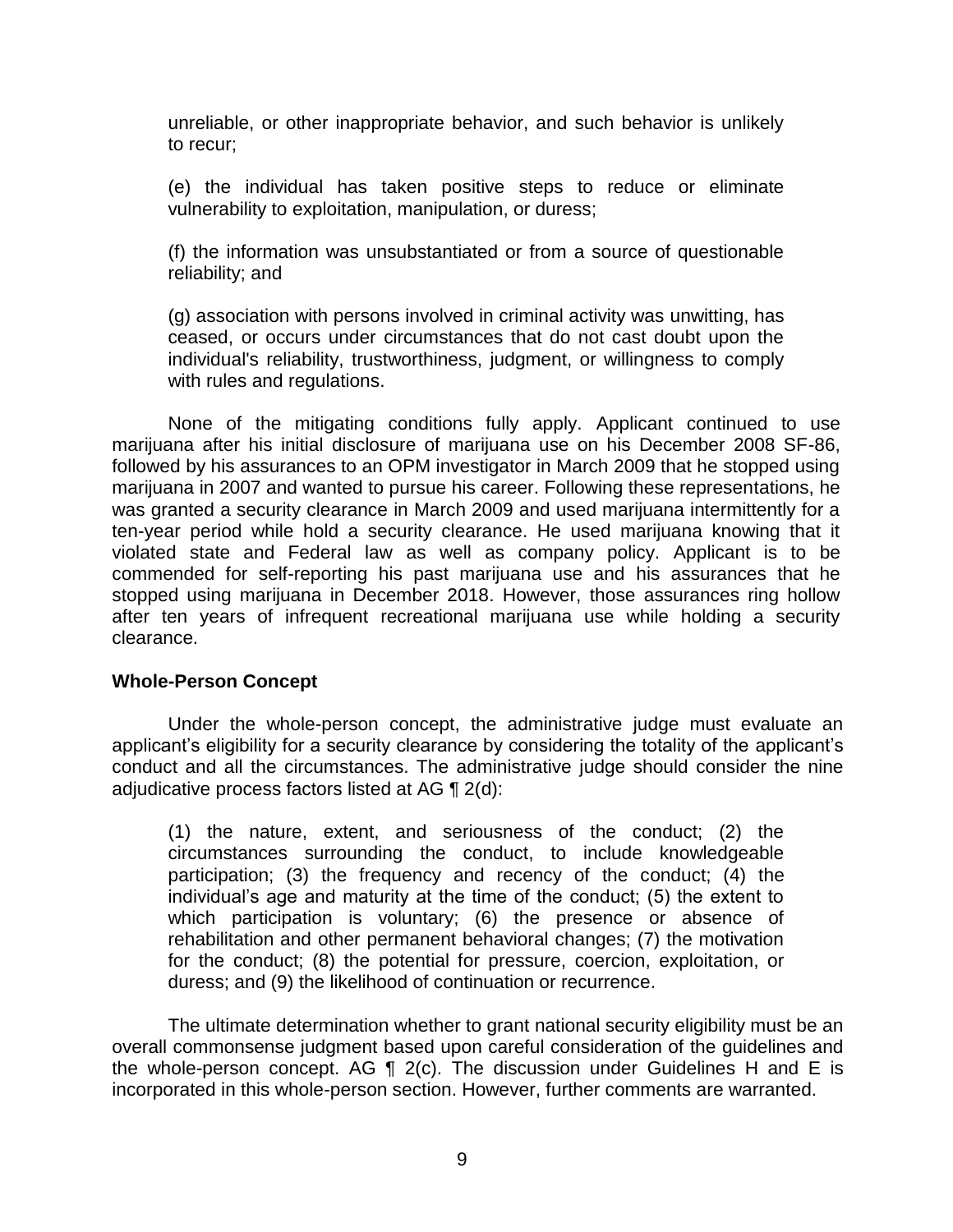unreliable, or other inappropriate behavior, and such behavior is unlikely to recur;

(e) the individual has taken positive steps to reduce or eliminate vulnerability to exploitation, manipulation, or duress;

(f) the information was unsubstantiated or from a source of questionable reliability; and

(g) association with persons involved in criminal activity was unwitting, has ceased, or occurs under circumstances that do not cast doubt upon the individual's reliability, trustworthiness, judgment, or willingness to comply with rules and regulations.

None of the mitigating conditions fully apply. Applicant continued to use marijuana after his initial disclosure of marijuana use on his December 2008 SF-86, followed by his assurances to an OPM investigator in March 2009 that he stopped using marijuana in 2007 and wanted to pursue his career. Following these representations, he was granted a security clearance in March 2009 and used marijuana intermittently for a ten-year period while hold a security clearance. He used marijuana knowing that it violated state and Federal law as well as company policy. Applicant is to be commended for self-reporting his past marijuana use and his assurances that he stopped using marijuana in December 2018. However, those assurances ring hollow after ten years of infrequent recreational marijuana use while holding a security clearance.

### **Whole-Person Concept**

Under the whole-person concept, the administrative judge must evaluate an applicant's eligibility for a security clearance by considering the totality of the applicant's conduct and all the circumstances. The administrative judge should consider the nine adjudicative process factors listed at AG ¶ 2(d):

(1) the nature, extent, and seriousness of the conduct; (2) the circumstances surrounding the conduct, to include knowledgeable participation; (3) the frequency and recency of the conduct; (4) the individual's age and maturity at the time of the conduct; (5) the extent to which participation is voluntary; (6) the presence or absence of rehabilitation and other permanent behavioral changes; (7) the motivation for the conduct; (8) the potential for pressure, coercion, exploitation, or duress; and (9) the likelihood of continuation or recurrence.

The ultimate determination whether to grant national security eligibility must be an overall commonsense judgment based upon careful consideration of the guidelines and the whole-person concept. AG  $\P$  2(c). The discussion under Guidelines H and E is incorporated in this whole-person section. However, further comments are warranted.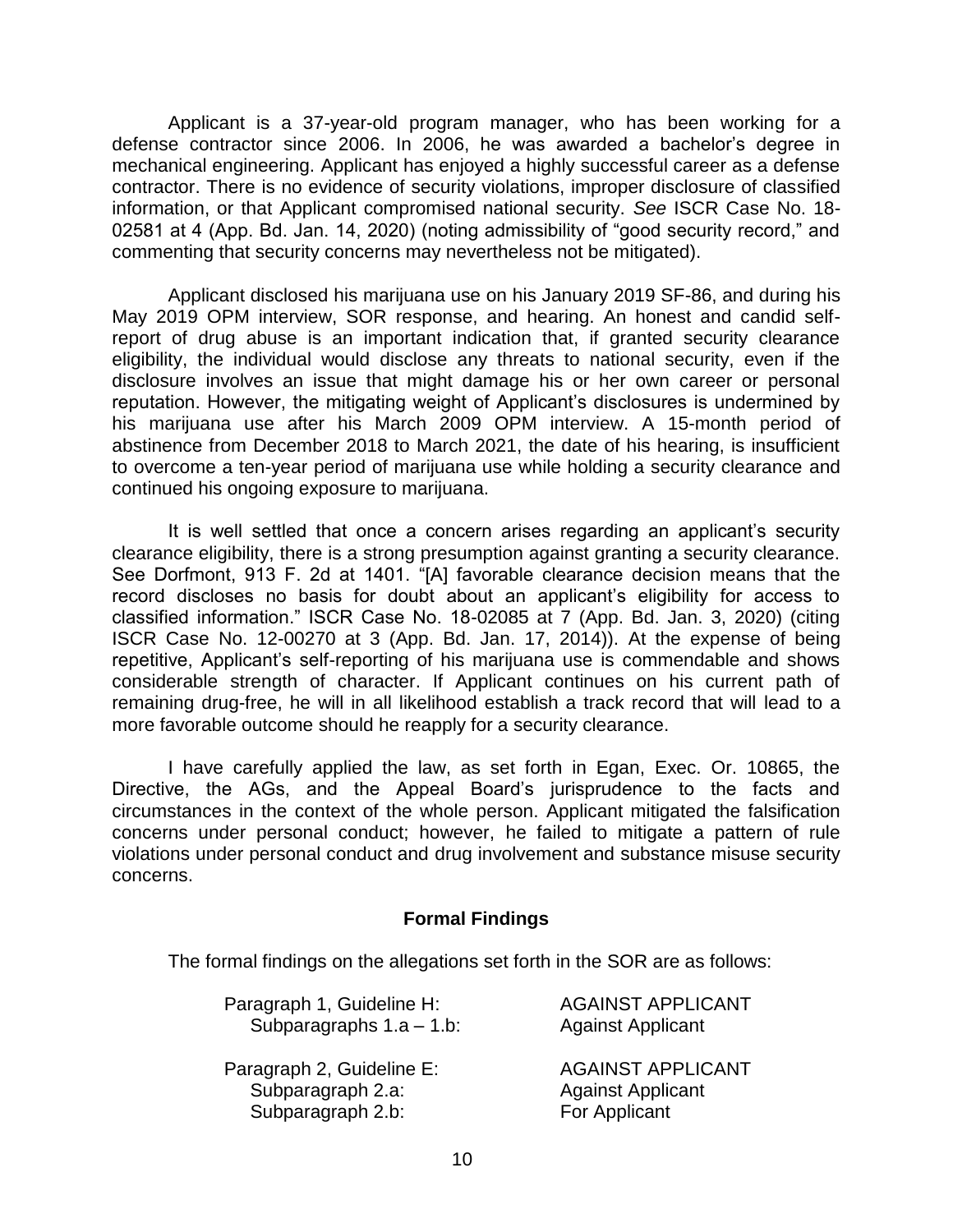Applicant is a 37-year-old program manager, who has been working for a defense contractor since 2006. In 2006, he was awarded a bachelor's degree in mechanical engineering. Applicant has enjoyed a highly successful career as a defense contractor. There is no evidence of security violations, improper disclosure of classified information, or that Applicant compromised national security. *See* ISCR Case No. 18- 02581 at 4 (App. Bd. Jan. 14, 2020) (noting admissibility of "good security record," and commenting that security concerns may nevertheless not be mitigated).

Applicant disclosed his marijuana use on his January 2019 SF-86, and during his May 2019 OPM interview, SOR response, and hearing. An honest and candid selfreport of drug abuse is an important indication that, if granted security clearance eligibility, the individual would disclose any threats to national security, even if the disclosure involves an issue that might damage his or her own career or personal reputation. However, the mitigating weight of Applicant's disclosures is undermined by his marijuana use after his March 2009 OPM interview. A 15-month period of abstinence from December 2018 to March 2021, the date of his hearing, is insufficient to overcome a ten-year period of marijuana use while holding a security clearance and continued his ongoing exposure to marijuana.

It is well settled that once a concern arises regarding an applicant's security clearance eligibility, there is a strong presumption against granting a security clearance. See Dorfmont, 913 F. 2d at 1401. "[A] favorable clearance decision means that the record discloses no basis for doubt about an applicant's eligibility for access to classified information." ISCR Case No. 18-02085 at 7 (App. Bd. Jan. 3, 2020) (citing ISCR Case No. 12-00270 at 3 (App. Bd. Jan. 17, 2014)). At the expense of being repetitive, Applicant's self-reporting of his marijuana use is commendable and shows considerable strength of character. If Applicant continues on his current path of remaining drug-free, he will in all likelihood establish a track record that will lead to a more favorable outcome should he reapply for a security clearance.

I have carefully applied the law, as set forth in Egan, Exec. Or. 10865, the Directive, the AGs, and the Appeal Board's jurisprudence to the facts and circumstances in the context of the whole person. Applicant mitigated the falsification concerns under personal conduct; however, he failed to mitigate a pattern of rule violations under personal conduct and drug involvement and substance misuse security concerns.

#### **Formal Findings**

The formal findings on the allegations set forth in the SOR are as follows:

| Paragraph 1, Guideline H:   | <b>AGAINST APPLICANT</b> |
|-----------------------------|--------------------------|
| Subparagraphs $1.a - 1.b$ : | <b>Against Applicant</b> |
| Paragraph 2, Guideline E:   | <b>AGAINST APPLICANT</b> |
| Subparagraph 2.a:           | <b>Against Applicant</b> |
| Subparagraph 2.b:           | For Applicant            |